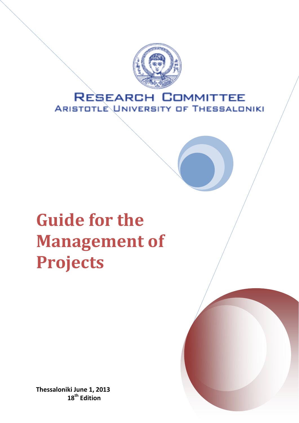

# **RESEARCH COMMITTEE ARISTOTLE UNIVERSITY OF THESSALONIKI**

# **Guide for the Management of Projects**

**Thessaloniki June 1, 2013 18th Edition**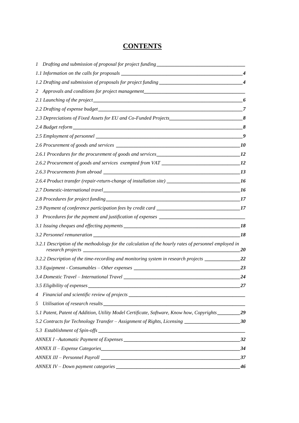# **CONTENTS**

|                                                                                                                            | 4               |
|----------------------------------------------------------------------------------------------------------------------------|-----------------|
| Approvals and conditions for project management_________________________________<br>2.                                     |                 |
|                                                                                                                            | $\epsilon$      |
| 2.2 Drafting of expense budget                                                                                             | 7               |
| 2.3 Depreciations of Fixed Assets for EU and Co-Funded Projects______________________________8                             |                 |
|                                                                                                                            | 8               |
|                                                                                                                            |                 |
|                                                                                                                            |                 |
|                                                                                                                            |                 |
|                                                                                                                            |                 |
|                                                                                                                            |                 |
| 2.6.4 Product transfer (repair-return-change of installation site) _________________________________16                     |                 |
|                                                                                                                            |                 |
|                                                                                                                            | $\overline{17}$ |
|                                                                                                                            |                 |
| 3 Procedures for the payment and justification of expenses ______________________                                          |                 |
|                                                                                                                            | _18             |
|                                                                                                                            | 18              |
| 3.2.1 Description of the methodology for the calculation of the hourly rates of personnel employed in<br>research projects | 20              |
| 3.2.2 Description of the time-recording and monitoring system in research projects ____________                            | 22              |
|                                                                                                                            | 23              |
|                                                                                                                            | 24              |
| 3.5 Eligibility of expenses _________                                                                                      | 27              |
| 4 Financial and scientific review of projects __________________________________                                           |                 |
|                                                                                                                            |                 |
| 5.1 Patent, Patent of Addition, Utility Model Certificate, Software, Know how, Copyrights __________ 29                    |                 |
| 5.2 Contracts for Technology Transfer - Assignment of Rights, Licensing _________________________30                        |                 |
|                                                                                                                            |                 |
|                                                                                                                            |                 |
|                                                                                                                            |                 |
|                                                                                                                            |                 |
|                                                                                                                            | 46              |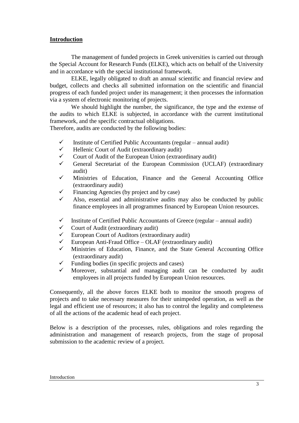#### **Introduction**

The management of funded projects in Greek universities is carried out through the Special Account for Research Funds (ELKE), which acts on behalf of the University and in accordance with the special institutional framework.

ELKE, legally obligated to draft an annual scientific and financial review and budget, collects and checks all submitted information on the scientific and financial progress of each funded project under its management; it then processes the information via a system of electronic monitoring of projects.

We should highlight the number, the significance, the type and the extense of the audits to which ELKE is subjected, in accordance with the current institutional framework, and the specific contractual obligations.

Therefore, audits are conducted by the following bodies:

- $\checkmark$  Institute of Certified Public Accountants (regular annual audit)
- $\checkmark$  Hellenic Court of Audit (extraordinary audit)
- $\checkmark$  Court of Audit of the European Union (extraordinary audit)
- General Secretariat of the European Commission (UCLAF) (extraordinary audit)
- $\checkmark$  Ministries of Education, Finance and the General Accounting Office (extraordinary audit)
- Financing Agencies (by project and by case)
- Also, essential and administrative audits may also be conducted by public finance employees in all programmes financed by European Union resources.
- $\checkmark$  Institute of Certified Public Accountants of Greece (regular annual audit)
- $\checkmark$  Court of Audit (extraordinary audit)
- $\checkmark$  European Court of Auditors (extraordinary audit)
- $\checkmark$  European Anti-Fraud Office OLAF (extraordinary audit)
- $\checkmark$  Ministries of Education, Finance, and the State General Accounting Office (extraordinary audit)
- $\checkmark$  Funding bodies (in specific projects and cases)
- Moreover, substantial and managing audit can be conducted by audit employees in all projects funded by European Union resources.

Consequently, all the above forces ELKE both to monitor the smooth progress of projects and to take necessary measures for their unimpeded operation, as well as the legal and efficient use of resources; it also has to control the legality and completeness of all the actions of the academic head of each project.

Below is a description of the processes, rules, obligations and roles regarding the administration and management of research projects, from the stage of proposal submission to the academic review of a project.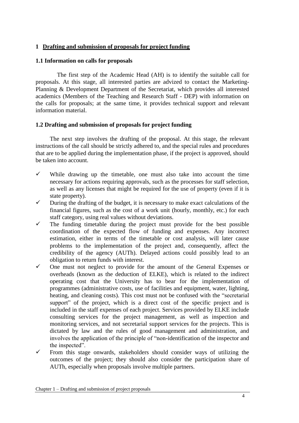#### **1 Drafting and submission of proposals for project funding**

#### <span id="page-3-0"></span>**1.1 Information on calls for proposals**

The first step of the Academic Head (AH) is to identify the suitable call for proposals. At this stage, all interested parties are advized to contact the Marketing-Planning & Development Department of the Secretariat, which provides all interested academics (Members of the Teaching and Research Staff - DEP) with information on the calls for proposals; at the same time, it provides technical support and relevant information material.

#### <span id="page-3-1"></span>**1.2 Drafting and submission of proposals for project funding**

The next step involves the drafting of the proposal. At this stage, the relevant instructions of the call should be strictly adhered to, and the special rules and procedures that are to be applied during the implementation phase, if the project is approved, should be taken into account.

- $\checkmark$  While drawing up the timetable, one must also take into account the time necessary for actions requiring approvals, such as the processes for staff selection, as well as any licenses that might be required for the use of property (even if it is state property).
- $\checkmark$  During the drafting of the budget, it is necessary to make exact calculations of the financial figures, such as the cost of a work unit (hourly, monthly, etc.) for each staff category, using real values without deviations.
- $\checkmark$  The funding timetable during the project must provide for the best possible coordination of the expected flow of funding and expenses. Any incorrect estimation, either in terms of the timetable or cost analysis, will later cause problems to the implementation of the project and, consequently, affect the credibility of the agency (AUTh). Delayed actions could possibly lead to an obligation to return funds with interest.
- $\checkmark$  One must not neglect to provide for the amount of the General Expenses or overheads (known as the deduction of ELKE), which is related to the indirect operating cost that the University has to bear for the implementation of programmes (administrative costs, use of facilities and equipment, water, lighting, heating, and cleaning costs). This cost must not be confused with the "secretarial support" of the project, which is a direct cost of the specific project and is included in the staff expenses of each project. Services provided by ELKE include consulting services for the project management, as well as inspection and monitoring services, and not secretarial support services for the projects. This is dictated by law and the rules of good management and administration, and involves the application of the principle of "non-identification of the inspector and the inspected".
- $\checkmark$  From this stage onwards, stakeholders should consider ways of utilizing the outcomes of the project; they should also consider the participation share of AUTh, especially when proposals involve multiple partners.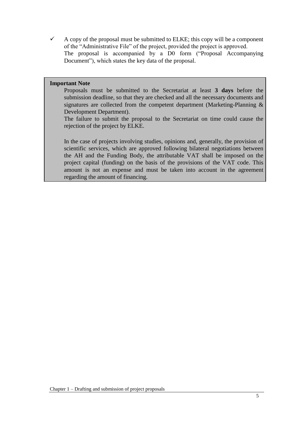$\checkmark$  A copy of the proposal must be submitted to ELKE; this copy will be a component of the "Administrative File" of the project, provided the project is approved. The proposal is accompanied by a D0 form ("Proposal Accompanying Document"), which states the key data of the proposal.

#### **Important Note**

Proposals must be submitted to the Secretariat at least **3 days** before the submission deadline, so that they are checked and all the necessary documents and signatures are collected from the competent department (Marketing-Planning & Development Department).

The failure to submit the proposal to the Secretariat on time could cause the rejection of the project by ELKE.

In the case of projects involving studies, opinions and, generally, the provision of scientific services, which are approved following bilateral negotiations between the AH and the Funding Body, the attributable VAT shall be imposed on the project capital (funding) on the basis of the provisions of the VAT code. This amount is not an expense and must be taken into account in the agreement regarding the amount of financing.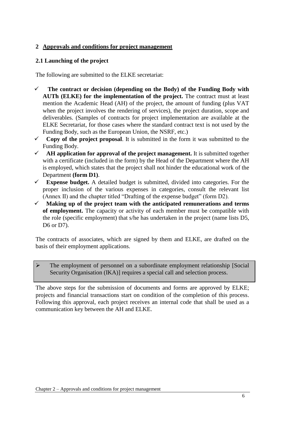# **2 Approvals and conditions for project management**

## <span id="page-5-0"></span>**2.1 Launching of the project**

The following are submitted to the ELKE secretariat:

- **The contract or decision (depending on the Body) of the Funding Body with AUTh (ELKE) for the implementation of the project.** The contract must at least mention the Academic Head (AH) of the project, the amount of funding (plus VAT when the project involves the rendering of services), the project duration, scope and deliverables. (Samples of contracts for project implementation are available at the ELKE Secretariat, for those cases where the standard contract text is not used by the Funding Body, such as the European Union, the NSRF, etc.)
- $\checkmark$  Copy of the project proposal. It is submitted in the form it was submitted to the Funding Body.
- **AH application for approval of the project management.** It is submitted together with a certificate (included in the form) by the Head of the Department where the AH is employed, which states that the project shall not hinder the educational work of the Department **(form D1)**.
- **Expense budget.** A detailed budget is submitted, divided into categories. For the proper inclusion of the various expenses in categories, consult the relevant list (Annex II) and the chapter titled "Drafting of the expense budget" (form D2).
- **Making up of the project team with the anticipated remunerations and terms of employment.** The capacity or activity of each member must be compatible with the role (specific employment) that s/he has undertaken in the project (name lists D5, D6 or D7).

The contracts of associates, which are signed by them and ELKE, are drafted on the basis of their employment applications.

 The employment of personnel on a subordinate employment relationship [Social Security Organisation (IKA)] requires a special call and selection process.

The above steps for the submission of documents and forms are approved by ELKE; projects and financial transactions start on condition of the completion of this process. Following this approval, each project receives an internal code that shall be used as a communication key between the AH and ELKE.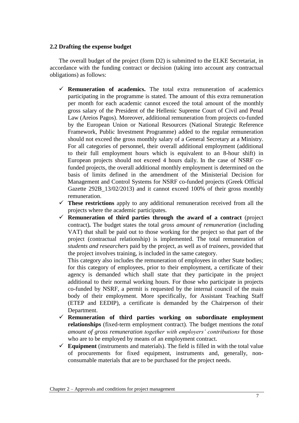#### <span id="page-6-0"></span>**2.2 Drafting the expense budget**

The overall budget of the project (form D2) is submitted to the ELKE Secretariat, in accordance with the funding contract or decision (taking into account any contractual obligations) as follows:

- $\checkmark$  **Remuneration of academics.** The total extra remuneration of academics participating in the programme is stated. The amount of this extra remuneration per month for each academic cannot exceed the total amount of the monthly gross salary of the President of the Hellenic Supreme Court of Civil and Penal Law (Areios Pagos). Moreover, additional remuneration from projects co-funded by the European Union or National Resources (National Strategic Reference Framework, Public Investment Programme) added to the regular remuneration should not exceed the gross monthly salary of a General Secretary at a Ministry. For all categories of personnel, their overall additional employment (additional to their full employment hours which is equivalent to an 8-hour shift) in European projects should not exceed 4 hours daily. In the case of NSRF cofunded projects, the overall additional monthly employment is determined on the basis of limits defined in the amendment of the Ministerial Decision for Management and Control Systems for NSRF co-funded projects (Greek Official Gazette 292B\_13/02/2013) and it cannot exceed 100% of their gross monthly remuneration.
- **These restrictions** apply to any additional remuneration received from all the projects where the academic participates.
- $\checkmark$  Remuneration of third parties through the award of a contract (project contract)**.** The budget states the total *gross amount of remuneration* (including VAT) that shall be paid out to those working for the project so that part of the project (contractual relationship) is implemented. The total remuneration of *students and researchers* paid by the project, as well as of *trainees,* provided that the project involves training, is included in the same category.

This category also includes the remuneration of employees in other State bodies; for this category of employees, prior to their employment, a certificate of their agency is demanded which shall state that they participate in the project additional to their normal working hours. For those who participate in projects co-funded by NSRF, a permit is requested by the internal council of the main body of their employment. More specifically, for Assistant Teaching Staff (ETEP and EEDIP), a certificate is demanded by the Chairperson of their Department.

- **Remuneration of third parties working on subordinate employment relationships** (fixed-term employment contract). The budget mentions the *total amount of gross remuneration together with employers' contributions* for those who are to be employed by means of an employment contract.
- $\checkmark$  Equipment (instruments and materials). The field is filled in with the total value of procurements for fixed equipment, instruments and, generally, nonconsumable materials that are to be purchased for the project needs.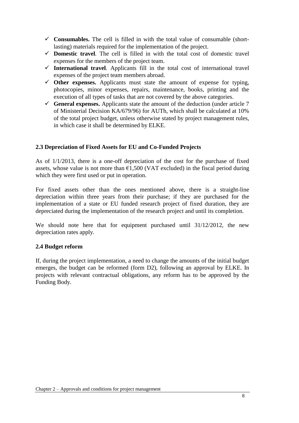- $\checkmark$  Consumables. The cell is filled in with the total value of consumable (shortlasting) materials required for the implementation of the project.
- **Domestic travel***.* The cell is filled in with the total cost of domestic travel expenses for the members of the project team.
- $\checkmark$  International travel. Applicants fill in the total cost of international travel expenses of the project team members abroad.
- $\checkmark$  Other expenses. Applicants must state the amount of expense for typing, photocopies, minor expenses, repairs, maintenance, books, printing and the execution of all types of tasks that are not covered by the above categories.
- General **expenses.** Applicants state the amount of the deduction (under article  $7$ of Ministerial Decision KA/679/96) for AUTh, which shall be calculated at 10% of the total project budget, unless otherwise stated by project management rules, in which case it shall be determined by ELKE.

# <span id="page-7-0"></span>**2.3 Depreciation of Fixed Assets for EU and Co-Funded Projects**

As of 1/1/2013, there is a one-off depreciation of the cost for the purchase of fixed assets, whose value is not more than  $\epsilon$ 1,500 (VAT excluded) in the fiscal period during which they were first used or put in operation.

For fixed assets other than the ones mentioned above, there is a straight-line depreciation within three years from their purchase; if they are purchased for the implementation of a state or EU funded research project of fixed duration, they are depreciated during the implementation of the research project and until its completion.

We should note here that for equipment purchased until  $31/12/2012$ , the new depreciation rates apply.

#### <span id="page-7-1"></span>**2.4 Budget reform**

If, during the project implementation, a need to change the amounts of the initial budget emerges, the budget can be reformed (form D2), following an approval by ELKE. In projects with relevant contractual obligations, any reform has to be approved by the Funding Body.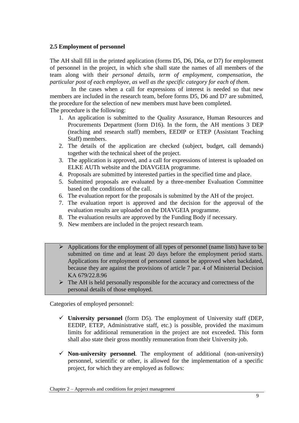#### <span id="page-8-0"></span>**2.5 Employment of personnel**

The AH shall fill in the printed application (forms D5, D6, D6a, or D7) for employment of personnel in the project, in which s/he shall state the names of all members of the team along with their *personal details, term of employment, compensation, the particular post of each employee, as well as the specific category for each of them.*

In the cases when a call for expressions of interest is needed so that new members are included in the research team, before forms D5, D6 and D7 are submitted, the procedure for the selection of new members must have been completed.

The procedure is the following:

- 1. An application is submitted to the Quality Assurance, Human Resources and Procurements Department (form D16). In the form, the AH mentions 3 DEP (teaching and research staff) members, EEDIP or ETEP (Assistant Teaching Staff) members.
- 2. The details of the application are checked (subject, budget, call demands) together with the technical sheet of the project.
- 3. The application is approved, and a call for expressions of interest is uploaded on ELKE AUTh website and the DIAVGEIA programme.
- 4. Proposals are submitted by interested parties in the specified time and place.
- 5. Submitted proposals are evaluated by a three-member Evaluation Committee based on the conditions of the call.
- 6. The evaluation report for the proposals is submitted by the AH of the project.
- 7. The evaluation report is approved and the decision for the approval of the evaluation results are uploaded on the DIAVGEIA programme.
- 8. The evaluation results are approved by the Funding Body if necessary.
- 9. New members are included in the project research team.
- $\triangleright$  Applications for the employment of all types of personnel (name lists) have to be submitted on time and at least 20 days before the employment period starts. Applications for employment of personnel cannot be approved when backdated, because they are against the provisions of article 7 par. 4 of Ministerial Decision ΚΑ 679/22.8.96
- $\triangleright$  The AH is held personally responsible for the accuracy and correctness of the personal details of those employed.

Categories of employed personnel:

- $\checkmark$  University personnel (form D5). The employment of University staff (DEP, EEDIP, ETEP, Administrative staff, etc.) is possible, provided the maximum limits for additional remuneration in the project are not exceeded. This form shall also state their gross monthly remuneration from their University job.
- **Non-university personnel***.* The employment of additional (non-university) personnel, scientific or other, is allowed for the implementation of a specific project, for which they are employed as follows: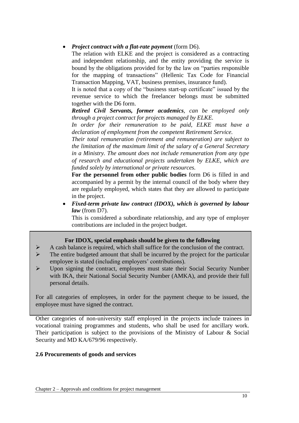#### *Project contract with a flat-rate payment* (form D6).

The relation with ELKE and the project is considered as a contracting and independent relationship, and the entity providing the service is bound by the obligations provided for by the law on "parties responsible for the mapping of transactions" (Hellenic Tax Code for Financial Transaction Mapping, VAT, business premises, insurance fund).

It is noted that a copy of the "business start-up certificate" issued by the revenue service to which the freelancer belongs must be submitted together with the D6 form.

*Retired Civil Servants, former academics, can be employed only through a project contract for projects managed by ELKE.* 

*In order for their remuneration to be paid, ELKE must have a declaration of employment from the competent Retirement Service.* 

*Their total remuneration (retirement and remuneration) are subject to the limitation of the maximum limit of the salary of a General Secretary in a Ministry. The amount does not include remuneration from any type of research and educational projects undertaken by ELKE, which are funded solely by international or private resources.* 

**For the personnel from other public bodies** form D6 is filled in and accompanied by a permit by the internal council of the body where they are regularly employed, which states that they are allowed to participate in the project.

 *Fixed-term private law contract (IDOX), which is governed by labour law* (from D7).

This is considered a subordinate relationship, and any type of employer contributions are included in the project budget.

#### **For IDOX, special emphasis should be given to the following**

- $\triangleright$  A cash balance is required, which shall suffice for the conclusion of the contract.
- $\triangleright$  The entire budgeted amount that shall be incurred by the project for the particular employee is stated (including employers' contributions).
- Upon signing the contract, employees must state their Social Security Number with IKA, their National Social Security Number (AMKA), and provide their full personal details.

For all categories of employees, in order for the payment cheque to be issued, the employee must have signed the contract.

Other categories of non-university staff employed in the projects include trainees in vocational training programmes and students, who shall be used for ancillary work. Their participation is subject to the provisions of the Ministry of Labour & Social Security and MD KA/679/96 respectively.

#### <span id="page-9-0"></span>**2.6 Procurements of goods and services**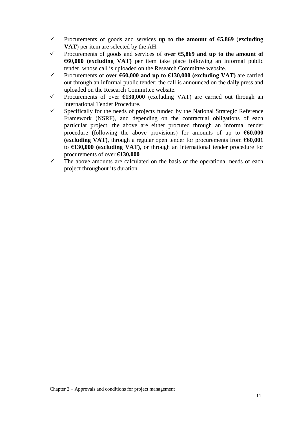- Procurements of goods and services **up to the amount of €5,869** (**excluding VAT**) per item are selected by the AH.
- Procurements of goods and services of **over €5,869 and up to the amount of €60,000 (excluding VAT)** per item take place following an informal public tender, whose call is uploaded on the Research Committee website.
- Procurements of **over €60,000 and up to €130,000 (excluding VAT)** are carried out through an informal public tender; the call is announced on the daily press and uploaded on the Research Committee website.
- Procurements of over **€130,000** (excluding VAT) are carried out through an International Tender Procedure.
- $\checkmark$  Specifically for the needs of projects funded by the National Strategic Reference Framework (NSRF), and depending on the contractual obligations of each particular project, the above are either procured through an informal tender procedure (following the above provisions) for amounts of up to **€60,000 (excluding VAT)**, through a regular open tender for procurements from **€60,001** to **€130,000 (excluding VAT)**, or through an international tender procedure for procurements of over **€130,000**.
- $\checkmark$  The above amounts are calculated on the basis of the operational needs of each project throughout its duration.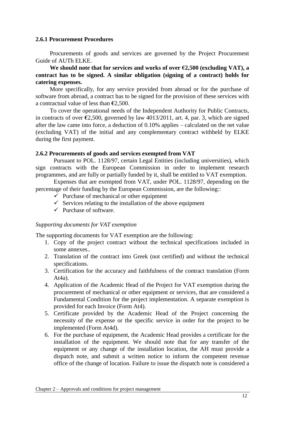#### <span id="page-11-0"></span>**2.6.1 Procurement Procedures**

Procurements of goods and services are governed by the Project Procurement Guide of AUTh ELKE.

**We should note that for services and works of over €2,500 (excluding VAT), a contract has to be signed. A similar obligation (signing of a contract) holds for catering expenses.** 

More specifically, for any service provided from abroad or for the purchase of software from abroad, a contract has to be signed for the provision of these services with a contractual value of less than **€**2,500.

To cover the operational needs of the Independent Authority for Public Contracts, in contracts of over **€**2,500, governed by law 4013/2011, art. 4, par. 3, which are signed after the law came into force, a deduction of 0.10% applies – calculated on the net value (excluding VAT) of the initial and any complementary contract withheld by ELKE during the first payment.

#### <span id="page-11-1"></span>**2.6.2 Procurements of goods and services exempted from VAT**

Pursuant to POL. 1128/97, certain Legal Entities (including universities), which sign contracts with the European Commission in order to implement research programmes, and are fully or partially funded by it, shall be entitled to VAT exemption.

Expenses that are exempted from VAT, under POL. 1128/97, depending on the percentage of their funding by the European Commission, are the following::

- $\checkmark$  Purchase of mechanical or other equipment
- $\checkmark$  Services relating to the installation of the above equipment
- $\checkmark$  Purchase of software.

#### *Supporting documents for VAT exemption*

The supporting documents for VAT exemption are the following:

- 1. Copy of the project contract without the technical specifications included in some annexes..
- 2. Translation of the contract into Greek (not certified) and without the technical specifications.
- 3. Certification for the accuracy and faithfulness of the contract translation (Form  $At4a$ ).
- 4. Application of the Academic Head of the Project for VAT exemption during the procurement of mechanical or other equipment or services, that are considered a Fundamental Condition for the project implementation. A separate exemption is provided for each Invoice (Form At4).
- 5. Certificate provided by the Academic Head of the Project concerning the necessity of the expense or the specific service in order for the project to be implemented (Form At4d).
- 6. For the purchase of equipment, the Academic Head provides a certificate for the installation of the equipment. We should note that for any transfer of the equipment or any change of the installation location, the AH must provide a dispatch note, and submit a written notice to inform the competent revenue office of the change of location. Failure to issue the dispatch note is considered a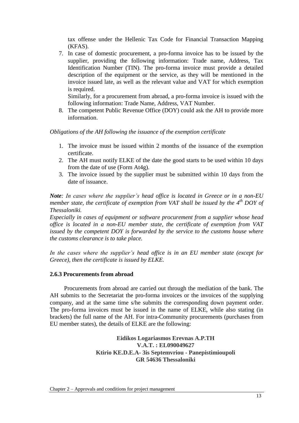tax offense under the Hellenic Tax Code for Financial Transaction Mapping (KFAS).

7. In case of domestic procurement, a pro-forma invoice has to be issued by the supplier, providing the following information: Trade name, Address, Tax Identification Number (TIN). The pro-forma invoice must provide a detailed description of the equipment or the service, as they will be mentioned in the invoice issued late, as well as the relevant value and VAT for which exemption is required.

Similarly, for a procurement from abroad, a pro-forma invoice is issued with the following information: Trade Name, Address, VAT Number.

8. The competent Public Revenue Office (DOY) could ask the AH to provide more information.

*Obligations of the AH following the issuance of the exemption certificate*

- 1. The invoice must be issued within 2 months of the issuance of the exemption certificate.
- 2. The AH must notify ELKE of the date the good starts to be used within 10 days from the date of use (Form At4g).
- 3. The invoice issued by the supplier must be submitted within 10 days from the date of issuance.

*Note: In cases where the supplier's head office is located in Greece or in a non-EU member state, the certificate of exemption from VAT shall be issued by the 4<sup>th</sup> DOY of Thessaloniki.*

*Especially in cases of equipment or software procurement from a supplier whose head office is located in a non-EU member state, the certificate of exemption from VAT issued by the competent DOY is forwarded by the service to the customs house where the customs clearance is to take place.*

*In the cases where the supplier's head office is in an EU member state (except for Greece), then the certificate is issued by ELKE.* 

#### <span id="page-12-0"></span>**2.6.3 Procurements from abroad**

Procurements from abroad are carried out through the mediation of the bank. The AH submits to the Secretariat the pro-forma invoices or the invoices of the supplying company, and at the same time s/he submits the corresponding down payment order. The pro-forma invoices must be issued in the name of ELKE, while also stating (in brackets) the full name of the AH. For intra-Community procurements (purchases from EU member states), the details of ELKE are the following:

> **Eidikos Logariasmos Erevnas A.P.TH V.A.T. : EL090049627 Ktirio KE.D.E.A- 3is Septemvriou - Panepistimioupoli GR 54636 Thessaloniki**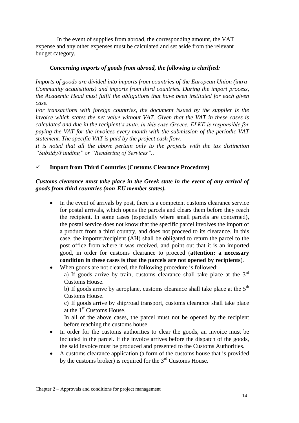In the event of supplies from abroad, the corresponding amount, the VAT expense and any other expenses must be calculated and set aside from the relevant budget category.

#### *Concerning imports of goods from abroad, the following is clarified:*

*Imports of goods are divided into imports from countries of the European Union (intra-Community acquisitions) and imports from third countries. During the import process, the Academic Head must fulfil the obligations that have been instituted for each given case.*

*For transactions with foreign countries, the document issued by the supplier is the invoice which states the net value without VAT. Given that the VAT in these cases is calculated and due in the recipient's state, in this case Greece, ELKE is responsible for paying the VAT for the invoices every month with the submission of the periodic VAT statement. The specific VAT is paid by the project cash flow.*

*It is noted that all the above pertain only to the projects with the tax distinction "Subsidy/Funding" or "Rendering of Services"..*

#### **Import from Third Countries (Customs Clearance Procedure)**

#### *Customs clearance must take place in the Greek state in the event of any arrival of goods from third countries (non-EU member states).*

- In the event of arrivals by post, there is a competent customs clearance service for postal arrivals, which opens the parcels and clears them before they reach the recipient. In some cases (especially where small parcels are concerned), the postal service does not know that the specific parcel involves the import of a product from a third country, and does not proceed to its clearance. In this case, the importer/recipient (AH) shall be obligated to return the parcel to the post office from where it was received, and point out that it is an imported good, in order for customs clearance to proceed (**attention: a necessary condition in these cases is that the parcels are not opened by recipients**).
- When goods are not cleared, the following procedure is followed: a) If goods arrive by train, customs clearance shall take place at the  $3<sup>rd</sup>$

Customs House. b) If goods arrive by aeroplane, customs clearance shall take place at the  $5<sup>th</sup>$ Customs House.

c) If goods arrive by ship/road transport, customs clearance shall take place at the 1<sup>st</sup> Customs House.

In all of the above cases, the parcel must not be opened by the recipient before reaching the customs house.

- In order for the customs authorities to clear the goods, an invoice must be included in the parcel. If the invoice arrives before the dispatch of the goods, the said invoice must be produced and presented to the Customs Authorities.
- A customs clearance application (a form of the customs house that is provided by the customs broker) is required for the  $3<sup>rd</sup>$  Customs House.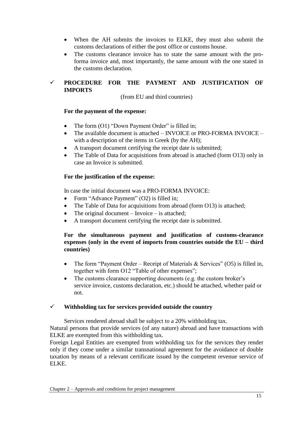- When the AH submits the invoices to ELKE, they must also submit the customs declarations of either the post office or customs house.
- The customs clearance invoice has to state the same amount with the proforma invoice and, most importantly, the same amount with the one stated in the customs declaration.

# **PROCEDURE FOR THE PAYMENT AND JUSTIFICATION OF IMPORTS**

(from EU and third countries)

#### **For the payment of the expense:**

- The form (O1) "Down Payment Order" is filled in;
- The available document is attached INVOICE or PRO-FORMA INVOICE with a description of the items in Greek (by the AH);
- A transport document certifying the receipt date is submitted;
- The Table of Data for acquisitions from abroad is attached (form O13) only in case an Invoice is submitted.

#### **For the justification of the expense:**

In case the initial document was a PRO-FORMA INVOICE:

- Form "Advance Payment" (O2) is filled in;
- The Table of Data for acquisitions from abroad (form O13) is attached;
- The original document Invoice is attached;
- A transport document certifying the receipt date is submitted.

#### **For the simultaneous payment and justification of customs-clearance expenses (only in the event of imports from countries outside the EU – third countries)**

- The form "Payment Order Receipt of Materials  $\&$  Services" (O5) is filled in, together with form O12 "Table of other expenses";
- The customs clearance supporting documents (e.g. the custom broker's service invoice, customs declaration, etc.) should be attached, whether paid or not.

#### **Withholding tax for services provided outside the country**

Services rendered abroad shall be subject to a 20% withholding tax. Natural persons that provide services (of any nature) abroad and have transactions with ELKE are exempted from this withholding tax.

Foreign Legal Entities are exempted from withholding tax for the services they render only if they come under a similar transnational agreement for the avoidance of double taxation by means of a relevant certificate issued by the competent revenue service of ELKE.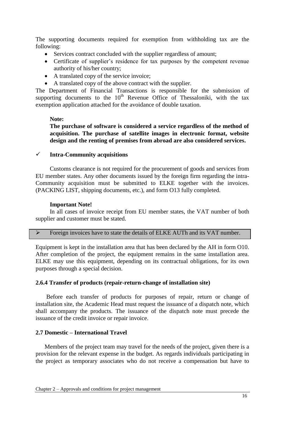The supporting documents required for exemption from withholding tax are the following:

- Services contract concluded with the supplier regardless of amount;
- Certificate of supplier"s residence for tax purposes by the competent revenue authority of his/her country;
- A translated copy of the service invoice;
- A translated copy of the above contract with the supplier.

The Department of Financial Transactions is responsible for the submission of supporting documents to the  $10<sup>th</sup>$  Revenue Office of Thessaloniki, with the tax exemption application attached for the avoidance of double taxation.

#### **Note:**

**The purchase of software is considered a service regardless of the method of acquisition. The purchase of satellite images in electronic format, website design and the renting of premises from abroad are also considered services.**

#### **Intra-Community acquisitions**

Customs clearance is not required for the procurement of goods and services from EU member states. Any other documents issued by the foreign firm regarding the intra-Community acquisition must be submitted to ELKE together with the invoices. (PACKING LIST, shipping documents, etc.), and form O13 fully completed.

#### **Important Note!**

In all cases of invoice receipt from EU member states, the VAT number of both supplier and customer must be stated.

|  |  |  |  |  |  |  |  | Foreign invoices have to state the details of ELKE AUTh and its VAT number. |
|--|--|--|--|--|--|--|--|-----------------------------------------------------------------------------|
|--|--|--|--|--|--|--|--|-----------------------------------------------------------------------------|

Equipment is kept in the installation area that has been declared by the AH in form O10. After completion of the project, the equipment remains in the same installation area. ELKE may use this equipment, depending on its contractual obligations, for its own purposes through a special decision.

#### <span id="page-15-0"></span>**2.6.4 Transfer of products (repair-return-change of installation site)**

Before each transfer of products for purposes of repair, return or change of installation site, the Academic Head must request the issuance of a dispatch note, which shall accompany the products. The issuance of the dispatch note must precede the issuance of the credit invoice or repair invoice.

#### <span id="page-15-1"></span>**2.7 Domestic – International Travel**

Members of the project team may travel for the needs of the project, given there is a provision for the relevant expense in the budget. As regards individuals participating in the project as temporary associates who do not receive a compensation but have to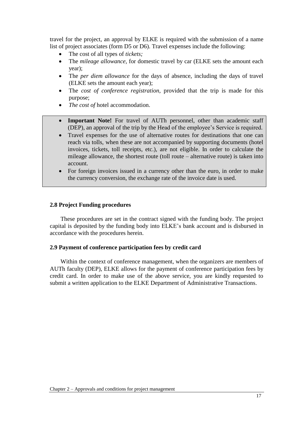travel for the project, an approval by ELKE is required with the submission of a name list of project associates (form D5 or D6). Travel expenses include the following:

- The cost of all types of *tickets;*
- The *mileage allowance*, for domestic travel by car (ELKE sets the amount each year);
- The *per diem allowance* for the days of absence, including the days of travel (ELKE sets the amount each year);
- The *cost of conference registration*, provided that the trip is made for this purpose;
- The cost of hotel accommodation.
- **Important Note!** For travel of AUTh personnel, other than academic staff (DEP), an approval of the trip by the Head of the employee"s Service is required.
- Travel expenses for the use of alternative routes for destinations that one can reach via tolls, when these are not accompanied by supporting documents (hotel invoices, tickets, toll receipts, etc.), are not eligible. In order to calculate the mileage allowance, the shortest route (toll route – alternative route) is taken into account.
- For foreign invoices issued in a currency other than the euro, in order to make the currency conversion, the exchange rate of the invoice date is used.

#### <span id="page-16-0"></span>**2.8 Project Funding procedures**

These procedures are set in the contract signed with the funding body. The project capital is deposited by the funding body into ELKE"s bank account and is disbursed in accordance with the procedures herein.

#### <span id="page-16-1"></span>**2.9 Payment of conference participation fees by credit card**

Within the context of conference management, when the organizers are members of AUTh faculty (DEP), ELKE allows for the payment of conference participation fees by credit card. In order to make use of the above service, you are kindly requested to submit a written application to the ELKE Department of Administrative Transactions.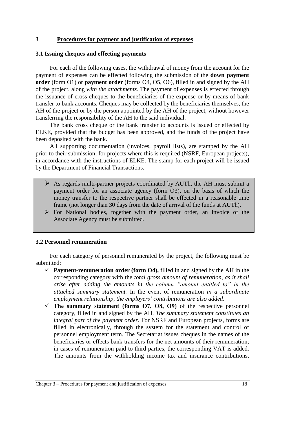#### **3 Procedures for payment and justification of expenses**

#### <span id="page-17-0"></span>**3.1 Issuing cheques and effecting payments**

For each of the following cases, the withdrawal of money from the account for the payment of expenses can be effected following the submission of the **down payment order** (form O1) or **payment order** (forms O4, O5, O6), filled in and signed by the AH of the project, along *with the attachments.* The payment of expenses is effected through the issuance of cross cheques to the beneficiaries of the expense or by means of bank transfer to bank accounts. Cheques may be collected by the beneficiaries themselves, the AH of the project or by the person appointed by the AH of the project, without however transferring the responsibility of the AH to the said individual.

The bank cross cheque or the bank transfer to accounts is issued or effected by ELKE, provided that the budget has been approved, and the funds of the project have been deposited with the bank.

All supporting documentation (invoices, payroll lists), are stamped by the AH prior to their submission, for projects where this is required (NSRF, European projects), in accordance with the instructions of ELKE. The stamp for each project will be issued by the Department of Financial Transactions.

- $\triangleright$  As regards multi-partner projects coordinated by AUTh, the AH must submit a payment order for an associate agency (form O3), on the basis of which the money transfer to the respective partner shall be effected in a reasonable time frame (not longer than 30 days from the date of arrival of the funds at AUTh).
- $\triangleright$  For National bodies, together with the payment order, an invoice of the Associate Agency must be submitted.

#### <span id="page-17-1"></span>**3.2 Personnel remuneration**

For each category of personnel remunerated by the project, the following must be submitted:

- **Payment-remuneration order (form Ο4),** filled in and signed by the AH in the corresponding category with the *total gross amount of remuneration, as it shall arise after adding the amounts in the column "amount entitled to" in the attached summary statement.* In the event of remuneration *in a subordinate employment relationship, the employers' contributions are also added*.
- $\checkmark$  The summary statement (forms O7, O8, O9) of the respective personnel category, filled in and signed by the AH. *The summary statement constitutes an integral part of the payment order.* For NSRF and European projects, forms are filled in electronically, through the system for the statement and control of personnel employment term. The Secretariat issues cheques in the names of the beneficiaries or effects bank transfers for the net amounts of their remuneration; in cases of remuneration paid to third parties, the corresponding VAT is added. The amounts from the withholding income tax and insurance contributions,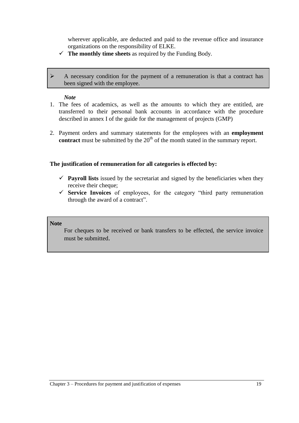wherever applicable, are deducted and paid to the revenue office and insurance organizations on the responsibility of ELKE.

 $\checkmark$  The monthly time sheets as required by the Funding Body.

 A necessary condition for the payment of a remuneration is that a contract has been signed with the employee.

#### *Note*

- 1. The fees of academics, as well as the amounts to which they are entitled, are transferred to their personal bank accounts in accordance with the procedure described in annex I of the guide for the management of projects (GMP)
- 2. Payment orders and summary statements for the employees with an **employment contract** must be submitted by the 20<sup>th</sup> of the month stated in the summary report.

#### **The justification of remuneration for all categories is effected by:**

- $\checkmark$  **Payroll lists** issued by the secretariat and signed by the beneficiaries when they receive their cheque;
- **Service Invoices** of employees, for the category "third party remuneration through the award of a contract".

#### **Note**

For cheques to be received or bank transfers to be effected, the service invoice must be submitted.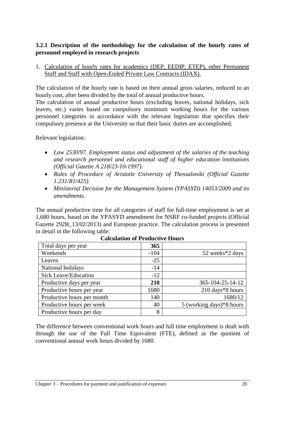# <span id="page-19-0"></span>**3.2.1 Description of the methodology for the calculation of the hourly rates of personnel employed in research projects**

1. Calculation of hourly rates for academics (DEP, EEDIP, ETEP), other Permanent Staff and Staff with Open-Ended Private Law Contracts (IDAX).

The calculation of the hourly rate is based on their annual gross salaries, reduced to an hourly cost, after been divided by the total of annual productive hours.

The calculation of annual productive hours (excluding leaves, national holidays, sick leaves, etc.) varies based on compulsory minimum working hours for the various personnel categories in accordance with the relevant legislation that specifies their compulsory presence at the University so that their basic duties are accomplished.

Relevant legislation:

- *Law 2530/97. Employment status and adjustment of the salaries of the teaching and research personnel and educational staff of higher education institutions (Official Gazette A 218/23-10-1997).*
- *Rules of Procedure of Aristotle University of Thessaloniki (Official Gazette 1.231/Β1/425).*
- *Ministerial Decision for the Management System (YPASYD) 14053/2009 and its amendments.*

The annual productive time for all categories of staff for full-time employment is set at 1,680 hours, based on the YPASYD amendment for NSRF co-funded projects (Official Gazette 292B 13/02/2013) and European practice. The calculation process is presented in detail in the following table:

| Total days per year         | 365        |                               |
|-----------------------------|------------|-------------------------------|
| Weekends                    | $-104$     | 52 weeks*2 days               |
| Leaves                      | $-25$      |                               |
| National holidays           | $-14$      |                               |
| <b>Sick Leave/Education</b> | $-12$      |                               |
| Productive days per year    | <b>210</b> | 365-104-25-14-12              |
| Productive hours per year   | 1680       | 210 days*8 hours              |
| Productive hours per month  | 140        | 1680/12                       |
| Productive hours per week   | 40         | $5$ (working days) $*8$ hours |
| Productive hours per day    | 8          |                               |

| <b>Calculation of Productive Hours</b> |  |  |
|----------------------------------------|--|--|
|----------------------------------------|--|--|

The difference between conventional work hours and full time employment is dealt with through the use of the Full Time Equivalent (FTE), defined as the quotient of conventional annual work hours divided by 1680.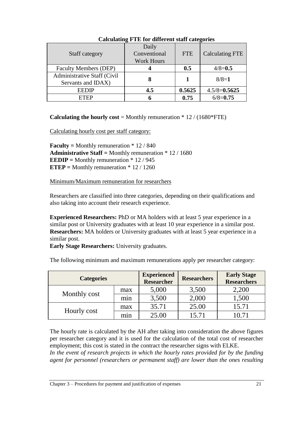| Staff category                                    | o<br>Daily<br>Conventional<br><b>Work Hours</b> | <b>FTE</b> | <b>Calculating FTE</b> |
|---------------------------------------------------|-------------------------------------------------|------------|------------------------|
| <b>Faculty Members (DEP)</b>                      |                                                 | 0.5        | $4/8 = 0.5$            |
| Administrative Staff (Civil<br>Servants and IDAX) | 8                                               |            | $8/8=1$                |
| <b>EEDIP</b>                                      | 4.5                                             | 0.5625     | $4.5/8 = 0.5625$       |
| <b>ETEP</b>                                       | h                                               | 0.75       | $6/8 = 0.75$           |

# **Calculating FTE for different staff categories**

**Calculating the hourly cost** = Monthly remuneration \* 12 / (1680\*FTE)

Calculating hourly cost per staff category:

**Faculty** = Monthly remuneration  $* 12 / 840$ **Administrative Staff =** Monthly remuneration \* 12 / 1680 **EEDIP** = Monthly remuneration  $* 12 / 945$ **ETEP =** Monthly remuneration \* 12 / 1260

Minimum/Maximum remuneration for researchers

Researchers are classified into three categories, depending on their qualifications and also taking into account their research experience.

**Experienced Researchers:** PhD or MA holders with at least 5 year experience in a similar post or University graduates with at least 10 year experience in a similar post. **Researchers:** MA holders or University graduates with at least 5 year experience in a similar post.

**Early Stage Researchers:** University graduates.

| <b>Categories</b> |     | <b>Experienced</b><br><b>Researcher</b> | <b>Researchers</b> | <b>Early Stage</b><br><b>Researchers</b> |
|-------------------|-----|-----------------------------------------|--------------------|------------------------------------------|
| Monthly cost      | max | 5,000                                   | 3,500              | 2,200                                    |
|                   | min | 3,500                                   | 2,000              | 1,500                                    |
| Hourly cost       | max | 35.71                                   | 25.00              | 15.71                                    |
|                   | mnn | 25.00                                   | 15.71              | 10 71                                    |

The following minimum and maximum remunerations apply per researcher category:

The hourly rate is calculated by the AH after taking into consideration the above figures per researcher category and it is used for the calculation of the total cost of researcher employment; this cost is stated in the contract the researcher signs with ELKE.

*In the event of research projects in which the hourly rates provided for by the funding agent for personnel (researchers or permanent staff) are lower than the ones resulting*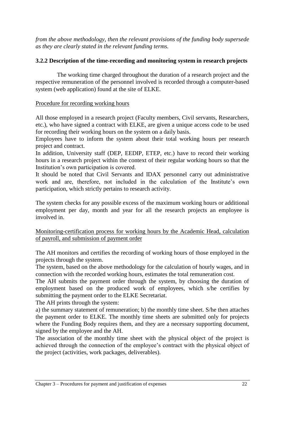*from the above methodology, then the relevant provisions of the funding body supersede as they are clearly stated in the relevant funding terms.*

# <span id="page-21-0"></span>**3.2.2 Description of the time-recording and monitoring system in research projects**

The working time charged throughout the duration of a research project and the respective remuneration of the personnel involved is recorded through a computer-based system (web application) found at the site of ELKE.

# Procedure for recording working hours

All those employed in a research project (Faculty members, Civil servants, Researchers, etc.), who have signed a contract with ELKE, are given a unique access code to be used for recording their working hours on the system on a daily basis.

Employees have to inform the system about their total working hours per research project and contract.

In addition, University staff (DEP, EEDIP, ETEP, etc.) have to record their working hours in a research project within the context of their regular working hours so that the Institution"s own participation is covered.

It should be noted that Civil Servants and IDAX personnel carry out administrative work and are, therefore, not included in the calculation of the Institute's own participation, which strictly pertains to research activity.

The system checks for any possible excess of the maximum working hours or additional employment per day, month and year for all the research projects an employee is involved in.

Monitoring-certification process for working hours by the Academic Head, calculation of payroll, and submission of payment order

The AH monitors and certifies the recording of working hours of those employed in the projects through the system.

The system, based on the above methodology for the calculation of hourly wages, and in connection with the recorded working hours, estimates the total remuneration cost.

The AH submits the payment order through the system, by choosing the duration of employment based on the produced work of employees, which s/he certifies by submitting the payment order to the ELKE Secretariat.

The AH prints through the system:

a) the summary statement of remuneration; b) the monthly time sheet. S/he then attaches the payment order to ELKE. The monthly time sheets are submitted only for projects where the Funding Body requires them, and they are a necessary supporting document, signed by the employee and the AH.

The association of the monthly time sheet with the physical object of the project is achieved through the connection of the employee"s contract with the physical object of the project (activities, work packages, deliverables).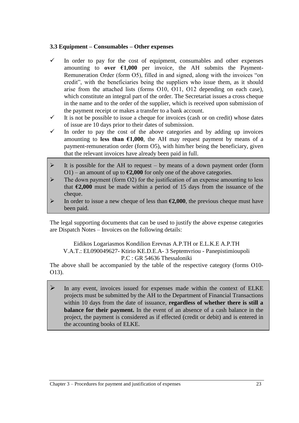# <span id="page-22-0"></span>**3.3 Equipment – Consumables – Other expenses**

- $\checkmark$  In order to pay for the cost of equipment, consumables and other expenses amounting to **over €1,000** per invoice, the AH submits the Payment-Remuneration Order (form O5), filled in and signed, along with the invoices "on credit", with the beneficiaries being the suppliers who issue them, as it should arise from the attached lists (forms Ο10, Ο11, Ο12 depending on each case), which constitute an integral part of the order. The Secretariat issues a cross cheque in the name and to the order of the supplier, which is received upon submission of the payment receipt or makes a transfer to a bank account.
- $\checkmark$  It is not be possible to issue a cheque for invoices (cash or on credit) whose dates of issue are 10 days prior to their dates of submission.
- $\checkmark$  In order to pay the cost of the above categories and by adding up invoices amounting to **less than**  $\epsilon$ **1,000**, the AH may request payment by means of a payment-remuneration order (form O5), with him/her being the beneficiary, given that the relevant invoices have already been paid in full.
- It is possible for the AH to request by means of a down payment order (form O1) – an amount of up to  $\epsilon$ 2,000 for only one of the above categories.
- The down payment (form O2) for the justification of an expense amounting to less that  $\epsilon$ 2,000 must be made within a period of 15 days from the issuance of the cheque.
- In order to issue a new cheque of less than  $\epsilon$ 2,000, the previous cheque must have been paid.

The legal supporting documents that can be used to justify the above expense categories are Dispatch Notes – Invoices on the following details:

Eidikos Logariasmos Kondilion Erevnas A.P.TH or E.L.K.E A.P.TH V.A.T.: EL090049627- Ktirio KE.D.E.A- 3 Septemvriou - Panepistimioupoli P.C : GR 54636 Thessaloniki

The above shall be accompanied by the table of the respective category (forms O10-Ο13).

 $\triangleright$  In any event, invoices issued for expenses made within the context of ELKE projects must be submitted by the AH to the Department of Financial Transactions within 10 days from the date of issuance, **regardless of whether there is still a balance for their payment.** In the event of an absence of a cash balance in the project, the payment is considered as if effected (credit or debit) and is entered in the accounting books of ELKE.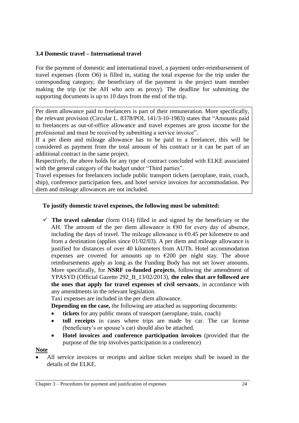## <span id="page-23-0"></span>**3.4 Domestic travel – International travel**

For the payment of domestic and international travel, a payment order-reimbursement of travel expenses (form O6) is filled in, stating the total expense for the trip under the corresponding category; the beneficiary of the payment is the project team member making the trip (or the AH who acts as proxy). The deadline for submitting the supporting documents is up to 10 days from the end of the trip.

Per diem allowance paid to freelancers is part of their remuneration. More specifically, the relevant provision (Circular L. 8378/POL 141/3-10-1983) states that "Amounts paid to freelancers as out-of-office allowance and travel expenses are gross income for the professional and must be received by submitting a service invoice".

If a per diem and mileage allowance has to be paid to a freelancer, this will be considered as payment from the total amount of his contract or it can be part of an additional contract in the same project.

Respectively, the above holds for any type of contract concluded with ELKE associated with the general category of the budget under "Third parties".

Travel expenses for freelancers include public transport tickets (aeroplane, train, coach, ship), conference participation fees, and hotel service invoices for accommodation. Per diem and mileage allowances are not included.

# **To justify domestic travel expenses, the following must be submitted:**

 **The travel calendar** (form Ο14) filled in and signed by the beneficiary or the AH. The amount of the per diem allowance is  $\epsilon$ 80 for every day of absence, including the days of travel. The mileage allowance is  $\epsilon$ 0.45 per kilometre to and from a destination (applies since 01/02/03). A per diem and mileage allowance is justified for distances of over 40 kilometers from AUTh. Hotel accommodation expenses are covered for amounts up to  $\epsilon$ 200 per night stay. The above reimbursements apply as long as the Funding Body has not set lower amounts. More specifically, for **NSRF co-funded projects**, following the amendment of YPASYD (Official Gazette 292\_Β\_13/02/2013), **the rules that are followed are the ones that apply for travel expenses of civil servants**, in accordance with any amendments in the relevant legislation.

Taxi expenses are included in the per diem allowance.

**Depending on the case, the following are attached as supporting documents:** 

- **tickets** for any public means of transport (aeroplane, train, coach)
- **toll receipts** in cases where trips are made by car. The car license (beneficiary's or spouse's car) should also be attached.
- **Hotel invoices and conference participation invoices** (provided that the purpose of the trip involves participation in a conference)

#### **Note**

 All service invoices or receipts and airline ticket receipts shall be issued in the details of the ELKE.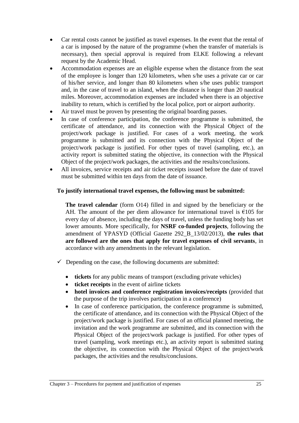- Car rental costs cannot be justified as travel expenses. In the event that the rental of a car is imposed by the nature of the programme (when the transfer of materials is necessary), then special approval is required from ELKE following a relevant request by the Academic Head.
- Accommodation expenses are an eligible expense when the distance from the seat of the employee is longer than 120 kilometers, when s/he uses a private car or car of his/her service, and longer than 80 kilometers when s/he uses public transport and, in the case of travel to an island, when the distance is longer than 20 nautical miles. Moreover, accommodation expenses are included when there is an objective inability to return, which is certified by the local police, port or airport authority.
- Air travel must be proven by presenting the original boarding passes.
- In case of conference participation, the conference programme is submitted, the certificate of attendance, and its connection with the Physical Object of the project/work package is justified. For cases of a work meeting, the work programme is submitted and its connection with the Physical Object of the project/work package is justified. For other types of travel (sampling, etc.), an activity report is submitted stating the objective, its connection with the Physical Object of the project/work packages, the activities and the results/conclusions.
- All invoices, service receipts and air ticket receipts issued before the date of travel must be submitted within ten days from the date of issuance.

# **To justify international travel expenses, the following must be submitted:**

**The travel calendar** (form Ο14) filled in and signed by the beneficiary or the AH. The amount of the per diem allowance for international travel is  $\epsilon$ 105 for every day of absence, including the days of travel, unless the funding body has set lower amounts. More specifically, for **NSRF co-funded projects**, following the amendment of YPASYD (Official Gazette 292\_Β\_13/02/2013), **the rules that are followed are the ones that apply for travel expenses of civil servants**, in accordance with any amendments in the relevant legislation.

- $\checkmark$  Depending on the case, the following documents are submitted:
	- **tickets** for any public means of transport (excluding private vehicles)
	- **ticket receipts** in the event of airline tickets
	- **hotel invoices and conference registration invoices/receipts** (provided that the purpose of the trip involves participation in a conference)
	- In case of conference participation, the conference programme is submitted, the certificate of attendance, and its connection with the Physical Object of the project/work package is justified. For cases of an official planned meeting, the invitation and the work programme are submitted, and its connection with the Physical Object of the project/work package is justified. For other types of travel (sampling, work meetings etc.), an activity report is submitted stating the objective, its connection with the Physical Object of the project/work packages, the activities and the results/conclusions.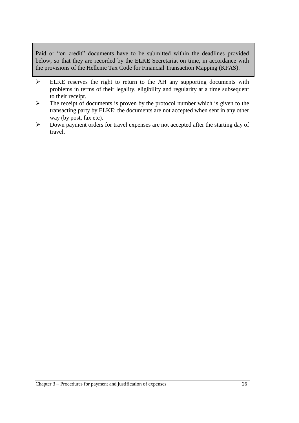Paid or "on credit" documents have to be submitted within the deadlines provided below, so that they are recorded by the ELKE Secretariat on time, in accordance with the provisions of the Hellenic Tax Code for Financial Transaction Mapping (KFAS).

- ELKE reserves the right to return to the AH any supporting documents with problems in terms of their legality, eligibility and regularity at a time subsequent to their receipt.
- $\triangleright$  The receipt of documents is proven by the protocol number which is given to the transacting party by ELKE; the documents are not accepted when sent in any other way (by post, fax etc).
- $\triangleright$  Down payment orders for travel expenses are not accepted after the starting day of travel.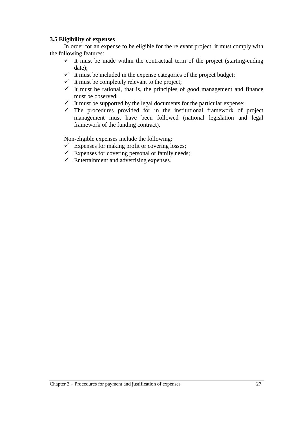#### <span id="page-26-0"></span>**3.5 Eligibility of expenses**

In order for an expense to be eligible for the relevant project, it must comply with the following features:

- $\checkmark$  It must be made within the contractual term of the project (starting-ending date);
- $\checkmark$  It must be included in the expense categories of the project budget;
- $\checkmark$  It must be completely relevant to the project;
- $\checkmark$  It must be rational, that is, the principles of good management and finance must be observed;
- $\checkmark$  It must be supported by the legal documents for the particular expense;
- $\checkmark$  The procedures provided for in the institutional framework of project management must have been followed (national legislation and legal framework of the funding contract).

Non-eligible expenses include the following:

- $\checkmark$  Expenses for making profit or covering losses;
- $\checkmark$  Expenses for covering personal or family needs;
- $\checkmark$  Entertainment and advertising expenses.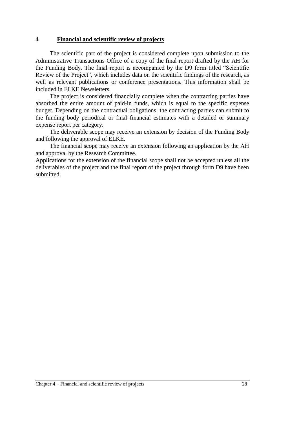#### **4 Financial and scientific review of projects**

The scientific part of the project is considered complete upon submission to the Administrative Transactions Office of a copy of the final report drafted by the AH for the Funding Body. The final report is accompanied by the D9 form titled "Scientific Review of the Project", which includes data on the scientific findings of the research, as well as relevant publications or conference presentations. This information shall be included in ELKE Newsletters.

The project is considered financially complete when the contracting parties have absorbed the entire amount of paid-in funds, which is equal to the specific expense budget. Depending on the contractual obligations, the contracting parties can submit to the funding body periodical or final financial estimates with a detailed or summary expense report per category.

The deliverable scope may receive an extension by decision of the Funding Body and following the approval of ELKE.

The financial scope may receive an extension following an application by the ΑΗ and approval by the Research Committee.

Applications for the extension of the financial scope shall not be accepted unless all the deliverables of the project and the final report of the project through form D9 have been submitted.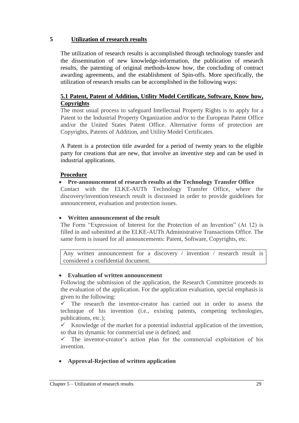#### **5 Utilization of research results**

The utilization of research results is accomplished through technology transfer and the dissemination of new knowledge-information, the publication of research results, the patenting of original methods-know how, the concluding of contract awarding agreements, and the establishment of Spin-offs. More specifically, the utilization of research results can be accomplished in the following ways:

# <span id="page-28-0"></span>**5.1 Patent, Patent of Addition, Utility Model Certificate, Software, Know how, Copyrights**

The most usual process to safeguard Intellectual Property Rights is to apply for a Patent to the Industrial Property Organization and/or to the European Patent Office and/or the United States Patent Office. Alternative forms of protection are Copyrights, Patents of Addition, and Utility Model Certificates.

A Patent is a protection title awarded for a period of twenty years to the eligible party for creations that are new, that involve an inventive step and can be used in industrial applications.

# **Procedure**

# **Pre-announcement of research results at the Technology Transfer Office**

Contact with the ELKE-AUTh Technology Transfer Office, where the discovery/invention/research result is discussed in order to provide guidelines for announcement, evaluation and protection issues.

# **Written announcement of the result**

The Form "Expression of Interest for the Protection of an Invention" (At 12) is filled in and submitted at the ELKE-AUTh Administrative Transactions Office. The same form is issued for all announcements: Patent, Software, Copyrights, etc.

Any written announcement for a discovery / invention / research result is considered a confidential document.

# **Evaluation of written announcement**

Following the submission of the application, the Research Committee proceeds to the evaluation of the application. For the application evaluation, special emphasis is given to the following:

 $\checkmark$  The research the inventor-creator has carried out in order to assess the technique of his invention (i.e., existing patents, competing technologies, publications, etc.);

Knowledge of the market for a potential industrial application of the invention, so that its dynamic for commercial use is defined; and

 $\checkmark$  The inventor-creator's action plan for the commercial exploitation of his invention.

# **Approval-Rejection of written application**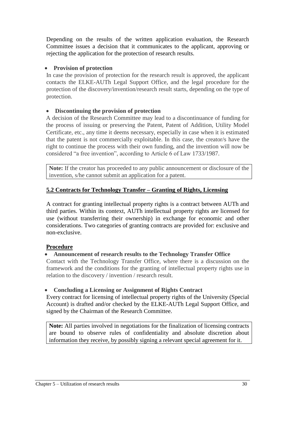Depending on the results of the written application evaluation, the Research Committee issues a decision that it communicates to the applicant, approving or rejecting the application for the protection of research results.

# **Provision of protection**

In case the provision of protection for the research result is approved, the applicant contacts the ELKE-AUTh Legal Support Office, and the legal procedure for the protection of the discovery/invention/research result starts, depending on the type of protection.

# **Discontinuing the provision of protection**

A decision of the Research Committee may lead to a discontinuance of funding for the process of issuing or preserving the Patent, Patent of Addition, Utility Model Certificate, etc., any time it deems necessary, especially in case when it is estimated that the patent is not commercially exploitable. In this case, the creator/s have the right to continue the process with their own funding, and the invention will now be considered "a free invention", according to Article 6 of Law 1733/1987.

**Note:** If the creator has proceeded to any public announcement or disclosure of the invention, s/he cannot submit an application for a patent.

# <span id="page-29-0"></span>**5.2 Contracts for Technology Transfer – Granting of Rights, Licensing**

A contract for granting intellectual property rights is a contract between AUTh and third parties. Within its context, AUTh intellectual property rights are licensed for use (without transferring their ownership) in exchange for economic and other considerations. Two categories of granting contracts are provided for: exclusive and non-exclusive.

# **Procedure**

# **Announcement of research results to the Technology Transfer Office**

Contact with the Technology Transfer Office, where there is a discussion on the framework and the conditions for the granting of intellectual property rights use in relation to the discovery / invention / research result.

# **Concluding a Licensing or Assignment of Rights Contract**

Every contract for licensing of intellectual property rights of the University (Special Account) is drafted and/or checked by the ELKE-AUTh Legal Support Office, and signed by the Chairman of the Research Committee.

**Note:** All parties involved in negotiations for the finalization of licensing contracts are bound to observe rules of confidentiality and absolute discretion about information they receive, by possibly signing a relevant special agreement for it.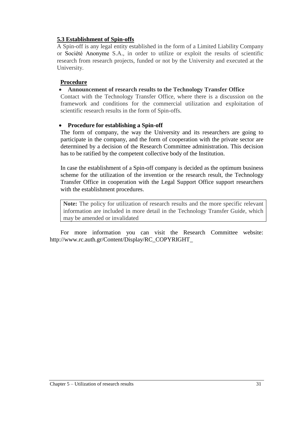# **5.3 Establishment of Spin-offs**

A Spin-off is any legal entity established in the form of a Limited Liability Company or Société Anonyme S.A., in order to utilize or exploit the results of scientific research from research projects, funded or not by the University and executed at the University.

# **Procedure**

# **Announcement of research results to the Technology Transfer Office**

Contact with the Technology Transfer Office, where there is a discussion on the framework and conditions for the commercial utilization and exploitation of scientific research results in the form of Spin-offs.

#### **Procedure for establishing a Spin-off**

The form of company, the way the University and its researchers are going to participate in the company, and the form of cooperation with the private sector are determined by a decision of the Research Committee administration. This decision has to be ratified by the competent collective body of the Institution.

In case the establishment of a Spin-off company is decided as the optimum business scheme for the utilization of the invention or the research result, the Technology Transfer Office in cooperation with the Legal Support Office support researchers with the establishment procedures.

**Note:** The policy for utilization of research results and the more specific relevant information are included in more detail in the Technology Transfer Guide, which may be amended or invalidated

For more information you can visit the Research Committee website: http://www.rc.auth.gr/Content/Display/RC\_COPYRIGHT\_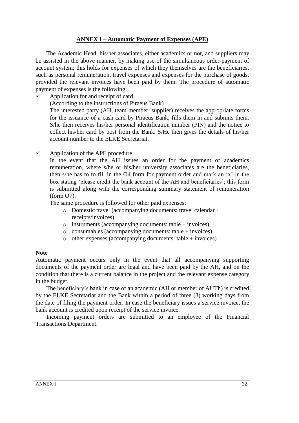# **ANNEX Ι – Automatic Payment of Expenses (APE)**

<span id="page-31-0"></span>The Academic Head, his/her associates, either academics or not, and suppliers may be assisted in the above manner, by making use of the simultaneous order-payment of account system; this holds for expenses of which they themselves are the beneficiaries, such as personal remuneration, travel expenses and expenses for the purchase of goods, provided the relevant invoices have been paid by them. The procedure of automatic payment of expenses is the following:

- $\checkmark$  Application for and receipt of card (According to the instructions of Piraeus Bank) The interested party (AH, team member, supplier) receives the appropriate forms for the issuance of a cash card by Piraeus Bank, fills them in and submits them. S/he then receives his/her personal identification number (PIN) and the notice to collect his/her card by post from the Bank. S/He then gives the details of his/her account number to the ELKE Secretariat.
- $\checkmark$  Application of the APE procedure

In the event that the AH issues an order for the payment of academics remuneration, where s/he or his/her university associates are the beneficiaries, then s/he has to to fill in the O4 form for payment order and mark an "x" in the box stating "please credit the bank account of the AH and beneficiaries"; this form is submitted along with the corresponding summary statement of remuneration (form O7).

The same procedure is followed for other paid expenses:

- o Domestic travel (accompanying documents: travel calendar + receipts/invoices)
- o instruments (accompanying documents: table + invoices)
- o consumables (accompanying documents: table + invoices)
- o other expenses (accompanying documents: table + invoices)

#### **Note**

Automatic payment occurs only in the event that all accompanying supporting documents of the payment order are legal and have been paid by the AH, and on the condition that there is a current balance in the project and the relevant expense category in the budget.

The beneficiary"s bank in case of an academic (AH or member of AUTh) is credited by the ELKE Secretariat and the Bank within a period of three (3) working days from the date of filing the payment order. In case the beneficiary issues a service invoice, the bank account is credited upon receipt of the service invoice.

Incoming payment orders are submitted to an employee of the Financial Transactions Department.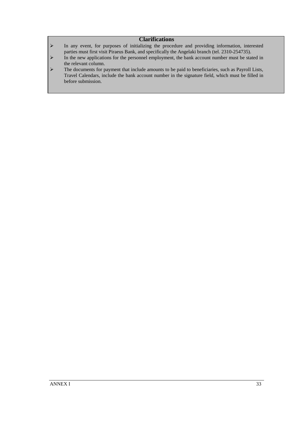#### **Clarifications**

- In any event, for purposes of initializing the procedure and providing information, interested parties must first visit Piraeus Bank, and specifically the Angelaki branch (tel. 2310-254735).
- $\triangleright$  In the new applications for the personnel employment, the bank account number must be stated in the relevant column.
- The documents for payment that include amounts to be paid to beneficiaries, such as Payroll Lists, Travel Calendars, include the bank account number in the signature field, which must be filled in before submission.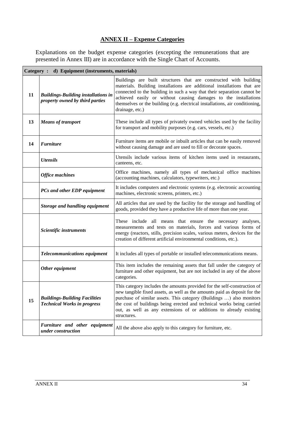# **ANNEX ΙΙ – Expense Categories**

<span id="page-33-0"></span>Explanations on the budget expense categories (excepting the remunerations that are presented in Annex III) are in accordance with the Single Chart of Accounts.

|    | Category : d) Equipment (instruments, materials)                              |                                                                                                                                                                                                                                                                                                                                                                                               |
|----|-------------------------------------------------------------------------------|-----------------------------------------------------------------------------------------------------------------------------------------------------------------------------------------------------------------------------------------------------------------------------------------------------------------------------------------------------------------------------------------------|
| 11 | <b>Buildings-Building installations in</b><br>property owned by third parties | Buildings are built structures that are constructed with building<br>materials. Building installations are additional installations that are<br>connected to the building in such a way that their separation cannot be<br>achieved easily or without causing damages to the installations<br>themselves or the building (e.g. electrical installations, air conditioning,<br>drainage, etc.) |
| 13 | <b>Means of transport</b>                                                     | These include all types of privately owned vehicles used by the facility<br>for transport and mobility purposes (e.g. cars, vessels, etc.)                                                                                                                                                                                                                                                    |
| 14 | <b>Furniture</b>                                                              | Furniture items are mobile or inbuilt articles that can be easily removed<br>without causing damage and are used to fill or decorate spaces.                                                                                                                                                                                                                                                  |
|    | <b>Utensils</b>                                                               | Utensils include various items of kitchen items used in restaurants,<br>canteens, etc.                                                                                                                                                                                                                                                                                                        |
|    | <b>Office machines</b>                                                        | Office machines, namely all types of mechanical office machines<br>(accounting machines, calculators, typewriters, etc.)                                                                                                                                                                                                                                                                      |
|    | PCs and other EDP equipment                                                   | It includes computers and electronic systems (e.g. electronic accounting<br>machines, electronic screens, printers, etc.)                                                                                                                                                                                                                                                                     |
|    | <b>Storage and handling equipment</b>                                         | All articles that are used by the facility for the storage and handling of<br>goods, provided they have a productive life of more than one year.                                                                                                                                                                                                                                              |
|    | Scientific instruments                                                        | These include all means that ensure the necessary<br>analyses,<br>measurements and tests on materials, forces and various forms of<br>energy (reactors, stills, precision scales, various meters, devices for the<br>creation of different artificial environmental conditions, etc.).                                                                                                        |
|    | <b>Telecommunications equipment</b>                                           | It includes all types of portable or installed telecommunications means.                                                                                                                                                                                                                                                                                                                      |
|    | Other equipment                                                               | This item includes the remaining assets that fall under the category of<br>furniture and other equipment, but are not included in any of the above<br>categories.                                                                                                                                                                                                                             |
| 15 | <b>Buildings-Building Facilities</b><br><b>Technical Works in progress</b>    | This category includes the amounts provided for the self-construction of<br>new tangible fixed assets, as well as the amounts paid as deposit for the<br>purchase of similar assets. This category (Buildings ) also monitors<br>the cost of buildings being erected and technical works being carried<br>out, as well as any extensions of or additions to already existing<br>structures.   |
|    | Furniture and other equipment<br>under construction                           | All the above also apply to this category for furniture, etc.                                                                                                                                                                                                                                                                                                                                 |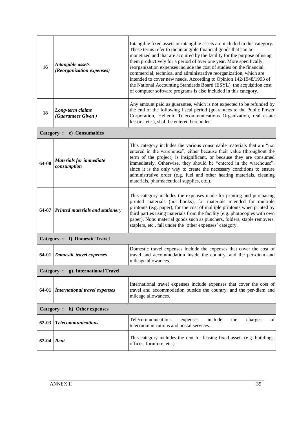| 16        | <b>Intangible</b> assets<br>(Reorganization expenses) | Intangible fixed assets or intangible assets are included in this category.<br>These terms refer to the intangible financial goods that can be<br>monetized and that are acquired by the facility for the purpose of using<br>them productively for a period of over one year. More specifically,<br>reorganization expenses include the cost of studies on the financial,<br>commercial, technical and administrative reorganization, which are<br>intended to cover new needs. According to Opinion 142/1948/1993 of<br>the National Accounting Standards Board (ESYL), the acquisition cost<br>of computer software programs is also included in this category. |  |  |  |
|-----------|-------------------------------------------------------|--------------------------------------------------------------------------------------------------------------------------------------------------------------------------------------------------------------------------------------------------------------------------------------------------------------------------------------------------------------------------------------------------------------------------------------------------------------------------------------------------------------------------------------------------------------------------------------------------------------------------------------------------------------------|--|--|--|
| 18        | Long-term claims<br>(Guarantees Given)                | Any amount paid as guarantee, which is not expected to be refunded by<br>the end of the following fiscal period (guarantees to the Public Power<br>Corporation, Hellenic Telecommunications Organization, real estate<br>lessors, etc.), shall be entered hereunder.                                                                                                                                                                                                                                                                                                                                                                                               |  |  |  |
| Category: | e) Consumables                                        |                                                                                                                                                                                                                                                                                                                                                                                                                                                                                                                                                                                                                                                                    |  |  |  |
| 64-08     | <b>Materials for immediate</b><br>consumption         | This category includes the various consumable materials that are "not<br>entered in the warehouse", either because their value (throughout the<br>term of the project) is insignificant, or because they are consumed<br>immediately. Otherwise, they should be "entered in the warehouse",<br>since it is the only way to create the necessary conditions to ensure<br>administrative order (e.g. fuel and other heating materials, cleaning<br>materials, pharmaceutical supplies, etc.).                                                                                                                                                                        |  |  |  |
|           | 64-07 Printed materials and stationery                | This category includes the expenses made for printing and purchasing<br>printed materials (not books), for materials intended for multiple<br>printouts (e.g. paper), for the cost of multiple printouts when printed by<br>third parties using materials from the facility (e.g. photocopies with own<br>paper). Note: material goods such as punchers, folders, staple removers,<br>staplers, etc., fall under the 'other expenses' category.                                                                                                                                                                                                                    |  |  |  |
|           | Category:<br>f) Domestic Travel                       |                                                                                                                                                                                                                                                                                                                                                                                                                                                                                                                                                                                                                                                                    |  |  |  |
|           | 64-01 Domestic travel expenses                        | Domestic travel expenses include the expenses that cover the cost of<br>travel and accommodation inside the country, and the per-diem and<br>mileage allowances.                                                                                                                                                                                                                                                                                                                                                                                                                                                                                                   |  |  |  |
|           | Category:<br>g) International Travel                  |                                                                                                                                                                                                                                                                                                                                                                                                                                                                                                                                                                                                                                                                    |  |  |  |
| 64-01     | International travel expenses                         | International travel expenses include expenses that cover the cost of<br>travel and accommodation outside the country, and the per-diem and<br>mileage allowances.                                                                                                                                                                                                                                                                                                                                                                                                                                                                                                 |  |  |  |
|           | h) Other expenses<br>Category:                        |                                                                                                                                                                                                                                                                                                                                                                                                                                                                                                                                                                                                                                                                    |  |  |  |
| $62 - 03$ | <b>Telecommunications</b>                             | Telecommunications<br>include<br>charges<br>expenses<br>the<br>of<br>telecommunications and postal services.                                                                                                                                                                                                                                                                                                                                                                                                                                                                                                                                                       |  |  |  |
| 62-04     | Rent                                                  | This category includes the rent for leasing fixed assets (e.g. buildings,<br>offices, furniture, etc.)                                                                                                                                                                                                                                                                                                                                                                                                                                                                                                                                                             |  |  |  |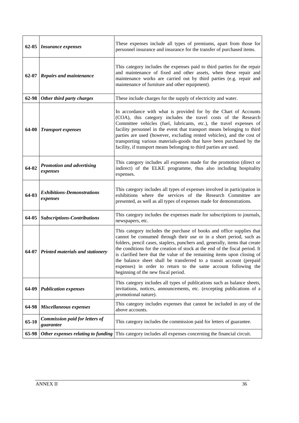|           | 62-05 <i>Insurance expenses</i>                    | These expenses include all types of premiums, apart from those for<br>personnel insurance and insurance for the transfer of purchased items.                                                                                                                                                                                                                                                                                                                                                                                                                           |
|-----------|----------------------------------------------------|------------------------------------------------------------------------------------------------------------------------------------------------------------------------------------------------------------------------------------------------------------------------------------------------------------------------------------------------------------------------------------------------------------------------------------------------------------------------------------------------------------------------------------------------------------------------|
| $62 - 07$ | <b>Repairs and maintenance</b>                     | This category includes the expenses paid to third parties for the repair<br>and maintenance of fixed and other assets, when these repair and<br>maintenance works are carried out by third parties (e.g. repair and<br>maintenance of furniture and other equipment).                                                                                                                                                                                                                                                                                                  |
| 62-98     | Other third party charges                          | These include charges for the supply of electricity and water.                                                                                                                                                                                                                                                                                                                                                                                                                                                                                                         |
| 64-00     | <b>Transport expenses</b>                          | In accordance with what is provided for by the Chart of Accounts<br>(COA), this category includes the travel costs of the Research<br>Committee vehicles (fuel, lubricants, etc.), the travel expenses of<br>facility personnel in the event that transport means belonging to third<br>parties are used (however, excluding rented vehicles), and the cost of<br>transporting various materials-goods that have been purchased by the<br>facility, if transport means belonging to third parties are used.                                                            |
| 64-02     | Promotion and advertising<br>expenses              | This category includes all expenses made for the promotion (direct or<br>indirect) of the ELKE programme, thus also including hospitality<br>expenses.                                                                                                                                                                                                                                                                                                                                                                                                                 |
| 64-03     | <b>Exhibitions-Demonstrations</b><br>expenses      | This category includes all types of expenses involved in participation in<br>exhibitions where the services of the Research Committee are<br>presented, as well as all types of expenses made for demonstrations.                                                                                                                                                                                                                                                                                                                                                      |
| 64-05     | <b>Subscriptions-Contributions</b>                 | This category includes the expenses made for subscriptions to journals,<br>newspapers, etc.                                                                                                                                                                                                                                                                                                                                                                                                                                                                            |
|           | 64-07 Printed materials and stationery             | This category includes the purchase of books and office supplies that<br>cannot be consumed through their use or in a short period, such as<br>folders, pencil cases, staplers, punchers and, generally, items that create<br>the conditions for the creation of stock at the end of the fiscal period. It<br>is clarified here that the value of the remaining items upon closing of<br>the balance sheet shall be transferred to a transit account (prepaid<br>expenses) in order to return to the same account following the<br>beginning of the new fiscal period. |
| 64-09     | <b>Publication expenses</b>                        | This category includes all types of publications such as balance sheets,<br>invitations, notices, announcements, etc. (excepting publications of a<br>promotional nature).                                                                                                                                                                                                                                                                                                                                                                                             |
| 64-98     | Miscellaneous expenses                             | This category includes expenses that cannot be included in any of the<br>above accounts.                                                                                                                                                                                                                                                                                                                                                                                                                                                                               |
| 65-10     | <b>Commission paid for letters of</b><br>guarantee | This category includes the commission paid for letters of guarantee.                                                                                                                                                                                                                                                                                                                                                                                                                                                                                                   |
| 65-98     | Other expenses relating to funding                 | This category includes all expenses concerning the financial circuit.                                                                                                                                                                                                                                                                                                                                                                                                                                                                                                  |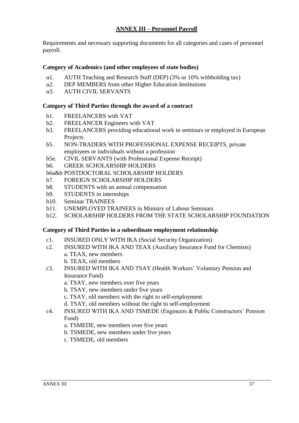# **ANNEX ΙΙΙ – Personnel Payroll**

<span id="page-36-0"></span>Requirements and necessary supporting documents for all categories and cases of personnel payroll.

# **Category of Academics (and other employees of state bodies)**

- α1. AUTH Teaching and Research Staff (DEP) (3% or 10% withholding tax)
- α2. DEP MEMBERS from other Higher Education Institutions
- α3. AUTH CIVIL SERVANTS

#### **Category of Third Parties through the award of a contract**

- b1. FREELANCERS with VAT
- b2. FREELANCER Engineers with VAT
- b3. FREELANCERS providing educational work in seminars or employed in European Projects
- b5. NON-TRADERS WITH PROFESSIONAL EXPENSE RECEIPTS, private employees or individuals without a profession
- b5e. CIVIL SERVANTS (with Professional Expense Receipt)
- b6. GREEK SCHOLARSHIP HOLDERS
- b6a&b POSTDOCTORAL SCHOLARSHIP HOLDERS
- b7. FOREIGN SCHOLARSHIP HOLDERS
- b8. STUDENTS with an annual compensation
- b9. STUDENTS in internships
- b10. Seminar TRAINEES
- b11. UNEMPLOYED TRAINEES in Ministry of Labour Seminars
- b12. SCHOLARSHIP HOLDERS FROM THE STATE SCHOLARSHIP FOUNDATION

#### **Category of Third Parties in a subordinate employment relationship**

- c1. INSURED ONLY WITH IKA (Social Security Organization)
- c2. INSURED WITH IKA AND TEAX (Auxiliary Insurance Fund for Chemists) a. TEAX, new members
	- b. TEAX, old members
- c3. INSURED WITH IKA AND TSAY (Health Workers" Voluntary Pension and Insurance Fund)
	- a. TSAY, new members over five years
	- b. TSAY, new members under five years
	- c. TSAY, old members with the right to self-employment
	- d. TSAY, old members without the right to self-employment
- c4. INSURED WITH IKA AND TSMEDE (Engineers & Public Constructors" Pension Fund)
	- a. TSMEDE, new members over five years
	- b. TSMEDE, new members under five years
	- c. TSMEDE, old members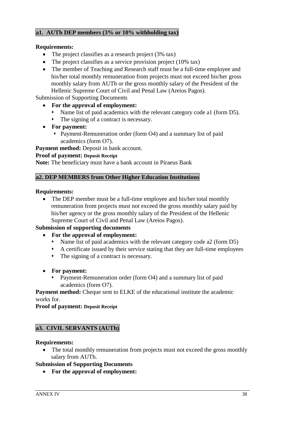# **a1. AUTh DEP members (3% or 10% withholding tax)**

#### **Requirements:**

- The project classifies as a research project (3% tax)
- The project classifies as a service provision project (10% tax)
- The member of Teaching and Research staff must be a full-time employee and his/her total monthly remuneration from projects must not exceed his/her gross monthly salary from AUTh or the gross monthly salary of the President of the Hellenic Supreme Court of Civil and Penal Law (Areios Pagos).

Submission of Supporting Documents

- **For the approval of employment:**
	- Name list of paid academics with the relevant category code a1 (form D5).
	- The signing of a contract is necessary.
- **For payment:**
	- Payment-Remuneration order (form O4) and a summary list of paid academics (form Ο7).

**Payment method:** Deposit in bank account.

#### **Proof of payment: Deposit Receipt**

**Note:** The beneficiary must have a bank account in Piraeus Bank

# **a2. DEP MEMBERS from Other Higher Education Institutions**

#### **Requirements:**

 The DEP member must be a full-time employee and his/her total monthly remuneration from projects must not exceed the gross monthly salary paid by his/her agency or the gross monthly salary of the President of the Hellenic Supreme Court of Civil and Penal Law (Areios Pagos).

#### **Submission of supporting documents**

- **For the approval of employment:** 
	- Name list of paid academics with the relevant category code a2 (form D5)
	- A certificate issued by their service stating that they are full-time employees
	- The signing of a contract is necessary.
- **For payment:**
	- Payment-Remuneration order (form Ο4) and a summary list of paid academics (form Ο7).

**Payment method:** Cheque sent to ELKE of the educational institute the academic works for.

**Proof of payment: Deposit Receipt**

# **a3. CIVIL SERVANTS (AUTh)**

#### **Requirements:**

 The total monthly remuneration from projects must not exceed the gross monthly salary from AUTh.

#### **Submission of Supporting Documents**

**For the approval of employment:**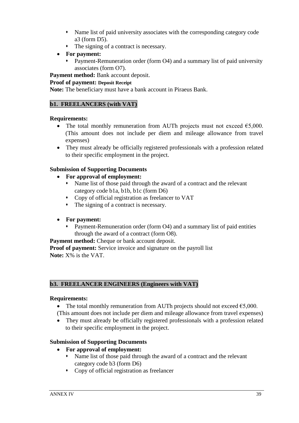- Name list of paid university associates with the corresponding category code a3 (form D5).
- The signing of a contract is necessary.
- **For payment:**
	- Payment-Remuneration order (form Ο4) and a summary list of paid university associates (form Ο7).

**Payment method:** Bank account deposit.

#### **Proof of payment: Deposit Receipt**

**Note:** The beneficiary must have a bank account in Piraeus Bank.

## **b1. FREELANCERS (with VAT)**

#### **Requirements:**

- The total monthly remuneration from AUTh projects must not exceed  $\epsilon$ 5,000. (This amount does not include per diem and mileage allowance from travel expenses)
- They must already be officially registered professionals with a profession related to their specific employment in the project.

# **Submission of Supporting Documents**

- **For approval of employment:** 
	- Name list of those paid through the award of a contract and the relevant category code b1a, b1b, b1c (form D6)
	- Copy of official registration as freelancer to VAT
	- The signing of a contract is necessary.
- **For payment:**
	- Payment-Remuneration order (form Ο4) and a summary list of paid entities through the award of a contract (form Ο8).

**Payment method:** Cheque or bank account deposit.

**Proof of payment:** Service invoice and signature on the payroll list **Note:** X% is the VAT.

#### **b3. FREELANCER ENGINEERS (Engineers with VAT)**

#### **Requirements:**

- The total monthly remuneration from AUTh projects should not exceed  $\epsilon$ 5,000. (This amount does not include per diem and mileage allowance from travel expenses)
- They must already be officially registered professionals with a profession related to their specific employment in the project.

#### **Submission of Supporting Documents**

- **For approval of employment:** 
	- Name list of those paid through the award of a contract and the relevant category code b3 (form D6)
	- Copy of official registration as freelancer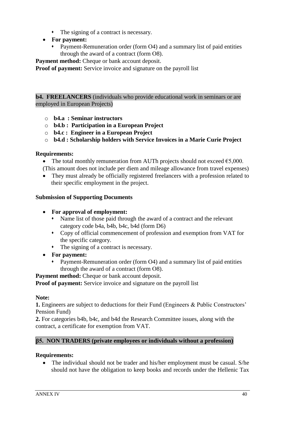- The signing of a contract is necessary.
- **For payment:**
	- Payment-Remuneration order (form Ο4) and a summary list of paid entities through the award of a contract (form Ο8).

**Payment method:** Cheque or bank account deposit.

**Proof of payment:** Service invoice and signature on the payroll list

**b4. FREELANCERS** (individuals who provide educational work in seminars or are employed in European Projects)

- o **b4.a : Seminar instructors**
- o **b4.b : Participation in a European Project**
- o **b4.c : Engineer in a European Project**
- o **b4.d : Scholarship holders with Service Invoices in a Marie Curie Project**

#### **Requirements:**

- The total monthly remuneration from AUTh projects should not exceed  $\epsilon$ 5,000. (This amount does not include per diem and mileage allowance from travel expenses)
- They must already be officially registered freelancers with a profession related to their specific employment in the project.

#### **Submission of Supporting Documents**

- **For approval of employment:** 
	- Name list of those paid through the award of a contract and the relevant category code b4a, b4b, b4c, b4d (form D6)
	- Copy of official commencement of profession and exemption from VAT for the specific category.
	- The signing of a contract is necessary.
- **For payment:**
	- Payment-Remuneration order (form Ο4) and a summary list of paid entities through the award of a contract (form Ο8).

**Payment method:** Cheque or bank account deposit.

**Proof of payment:** Service invoice and signature on the payroll list

#### **Note:**

**1.** Engineers are subject to deductions for their Fund (Engineers & Public Constructors' Pension Fund)

**2.** For categories b4b, b4c, and b4d the Research Committee issues, along with the contract, a certificate for exemption from VAT.

#### **β5. NON TRADERS (private employees or individuals without a profession)**

#### **Requirements:**

• The individual should not be trader and his/her employment must be casual. S/he should not have the obligation to keep books and records under the Hellenic Tax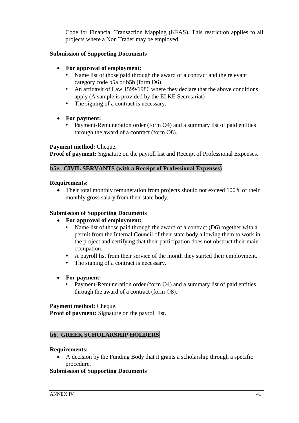Code for Financial Transaction Mapping (KFAS). This restriction applies to all projects where a Non Trader may be employed.

# **Submission of Supporting Documents**

- **For approval of employment:** 
	- Name list of those paid through the award of a contract and the relevant category code b5a or b5b (form D6)
	- An affidavit of Law 1599/1986 where they declare that the above conditions apply (A sample is provided by the ELKE Secretariat)
	- The signing of a contract is necessary.
- **For payment:**
	- Payment-Remuneration order (form Ο4) and a summary list of paid entities through the award of a contract (form Ο8).

#### **Payment method:** Cheque.

**Proof of payment:** Signature on the payroll list and Receipt of Professional Expenses.

# **b5e. CIVIL SERVANTS (with a Receipt of Professional Expenses)**

#### **Requirements:**

• Their total monthly remuneration from projects should not exceed 100% of their monthly gross salary from their state body.

#### **Submission of Supporting Documents**

- **For approval of employment:** 
	- Name list of those paid through the award of a contract (D6) together with a permit from the Internal Council of their state body allowing them to work in the project and certifying that their participation does not obstruct their main occupation.
	- A payroll list from their service of the month they started their employment.
	- The signing of a contract is necessary.
- **For payment:**
	- Payment-Remuneration order (form Ο4) and a summary list of paid entities through the award of a contract (form Ο8).

#### **Payment method:** Cheque.

**Proof of payment:** Signature on the payroll list.

#### **b6. GREEK SCHOLARSHIP HOLDERS**

#### **Requirements:**

 A decision by the Funding Body that it grants a scholarship through a specific procedure.

#### **Submission of Supporting Documents**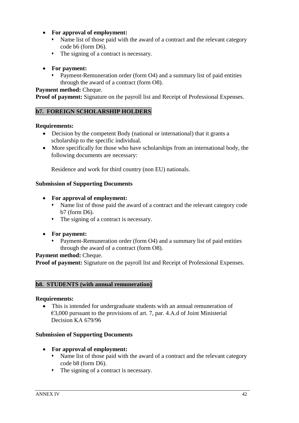- **For approval of employment:** 
	- Name list of those paid with the award of a contract and the relevant category code b6 (form D6).
	- The signing of a contract is necessary.

# **For payment:**

 Payment-Remuneration order (form Ο4) and a summary list of paid entities through the award of a contract (form Ο8).

# **Payment method:** Cheque.

**Proof of payment:** Signature on the payroll list and Receipt of Professional Expenses.

# **b7. FOREIGN SCHOLARSHIP HOLDERS**

# **Requirements:**

- Decision by the competent Body (national or international) that it grants a scholarship to the specific individual.
- More specifically for those who have scholarships from an international body, the following documents are necessary:

Residence and work for third country (non EU) nationals.

# **Submission of Supporting Documents**

- **For approval of employment:** 
	- Name list of those paid the award of a contract and the relevant category code b7 (form D6).
	- The signing of a contract is necessary.
- **For payment:**
	- Payment-Remuneration order (form Ο4) and a summary list of paid entities through the award of a contract (form Ο8).

# **Payment method:** Cheque.

**Proof of payment:** Signature on the payroll list and Receipt of Professional Expenses.

# **b8. STUDENTS (with annual remuneration)**

# **Requirements:**

 This is intended for undergraduate students with an annual remuneration of €3,000 pursuant to the provisions of art. 7, par. 4.Α.d of Joint Ministerial Decision ΚΑ 679/96

# **Submission of Supporting Documents**

- **For approval of employment:** 
	- Name list of those paid with the award of a contract and the relevant category code b8 (form D6).
	- The signing of a contract is necessary.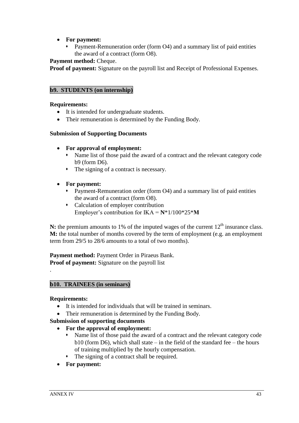- **For payment:**
	- Payment-Remuneration order (form Ο4) and a summary list of paid entities the award of a contract (form Ο8).

# **Payment method: Cheque.**

**Proof of payment:** Signature on the payroll list and Receipt of Professional Expenses.

# **b9. STUDENTS (on internship)**

## **Requirements:**

- It is intended for undergraduate students.
- Their remuneration is determined by the Funding Body.

#### **Submission of Supporting Documents**

- **For approval of employment:** 
	- Name list of those paid the award of a contract and the relevant category code b9 (form D6).
	- The signing of a contract is necessary.
- **For payment:**
	- Payment-Remuneration order (form Ο4) and a summary list of paid entities the award of a contract (form Ο8).
	- Calculation of employer contribution Employer"s contribution for IKA = **N**\*1/100\*25\***Μ**

**N:** the premium amounts to 1% of the imputed wages of the current  $12<sup>th</sup>$  insurance class. **M:** the total number of months covered by the term of employment (e.g. an employment term from 29/5 to 28/6 amounts to a total of two months).

**Payment method:** Payment Order in Piraeus Bank. **Proof of payment:** Signature on the payroll list

# **b10. TRAINEES (in seminars)**

#### **Requirements:**

.

- It is intended for individuals that will be trained in seminars.
- Their remuneration is determined by the Funding Body.

# **Submission of supporting documents**

- **For the approval of employment:** 
	- Name list of those paid the award of a contract and the relevant category code  $b10$  (form D6), which shall state – in the field of the standard fee – the hours of training multiplied by the hourly compensation.
	- The signing of a contract shall be required.
- **For payment:**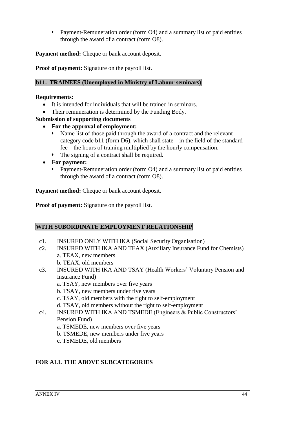Payment-Remuneration order (form Ο4) and a summary list of paid entities through the award of a contract (form Ο8).

**Payment method:** Cheque or bank account deposit.

**Proof of payment:** Signature on the payroll list.

# **b11. TRAINEES (Unemployed in Ministry of Labour seminars)**

#### **Requirements:**

- It is intended for individuals that will be trained in seminars.
- Their remuneration is determined by the Funding Body.

#### **Submission of supporting documents**

- **For the approval of employment:** 
	- Name list of those paid through the award of a contract and the relevant category code b11 (form D6), which shall state – in the field of the standard fee – the hours of training multiplied by the hourly compensation.
	- The signing of a contract shall be required.
- **For payment:**
	- Payment-Remuneration order (form O4) and a summary list of paid entities through the award of a contract (form Ο8).

**Payment method:** Cheque or bank account deposit.

**Proof of payment:** Signature on the payroll list.

#### **WITH SUBORDINATE EMPLOYMENT RELATIONSHIP**

- c1. INSURED ONLY WITH IKA (Social Security Organisation)
- c2. INSURED WITH IKA AND TEAX (Auxiliary Insurance Fund for Chemists) a. TEAX, new members
	- b. TEAX, old members
- c3. INSURED WITH IKA AND TSAY (Health Workers" Voluntary Pension and Insurance Fund)
	- a. TSAY, new members over five years
	- b. TSAY, new members under five years
	- c. TSAY, old members with the right to self-employment
	- d. TSAY, old members without the right to self-employment

#### c4. INSURED WITH IKA AND TSMEDE (Engineers & Public Constructors" Pension Fund)

- a. TSMEDE, new members over five years
- b. TSMEDE, new members under five years
- c. TSMEDE, old members

# **FOR ALL THE ABOVE SUBCATEGORIES**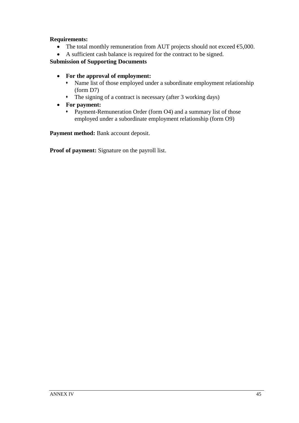# **Requirements:**

- The total monthly remuneration from AUT projects should not exceed  $\epsilon$ 5,000.
- A sufficient cash balance is required for the contract to be signed.

# **Submission of Supporting Documents**

- **For the approval of employment:** 
	- Name list of those employed under a subordinate employment relationship (form D7)
	- The signing of a contract is necessary (after 3 working days)
- **For payment:**
	- **•** Payment-Remuneration Order (form O4) and a summary list of those employed under a subordinate employment relationship (form O9)

**Payment method:** Bank account deposit.

**Proof of payment:** Signature on the payroll list.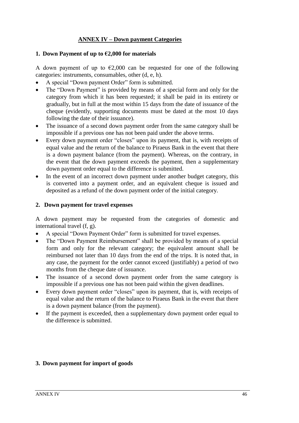# **ANNEX IV – Down payment Categories**

#### <span id="page-45-0"></span>**1. Down Payment of up to €2,000 for materials**

A down payment of up to  $\epsilon$ 2,000 can be requested for one of the following categories: instruments, consumables, other (d, e, h).

- A special "Down payment Order" form is submitted.
- The "Down Payment" is provided by means of a special form and only for the category from which it has been requested; it shall be paid in its entirety or gradually, but in full at the most within 15 days from the date of issuance of the cheque (evidently, supporting documents must be dated at the most 10 days following the date of their issuance).
- The issuance of a second down payment order from the same category shall be impossible if a previous one has not been paid under the above terms.
- Every down payment order "closes" upon its payment, that is, with receipts of equal value and the return of the balance to Piraeus Bank in the event that there is a down payment balance (from the payment). Whereas, on the contrary, in the event that the down payment exceeds the payment, then a supplementary down payment order equal to the difference is submitted.
- In the event of an incorrect down payment under another budget category, this is converted into a payment order, and an equivalent cheque is issued and deposited as a refund of the down payment order of the initial category.

#### **2. Down payment for travel expenses**

A down payment may be requested from the categories of domestic and international travel (f, g).

- A special "Down Payment Order" form is submitted for travel expenses.
- The "Down Payment Reimbursement" shall be provided by means of a special form and only for the relevant category; the equivalent amount shall be reimbursed not later than 10 days from the end of the trips. It is noted that, in any case, the payment for the order cannot exceed (justifiably) a period of two months from the cheque date of issuance.
- The issuance of a second down payment order from the same category is impossible if a previous one has not been paid within the given deadlines.
- Every down payment order "closes" upon its payment, that is, with receipts of equal value and the return of the balance to Piraeus Bank in the event that there is a down payment balance (from the payment).
- If the payment is exceeded, then a supplementary down payment order equal to the difference is submitted.

#### **3. Down payment for import of goods**